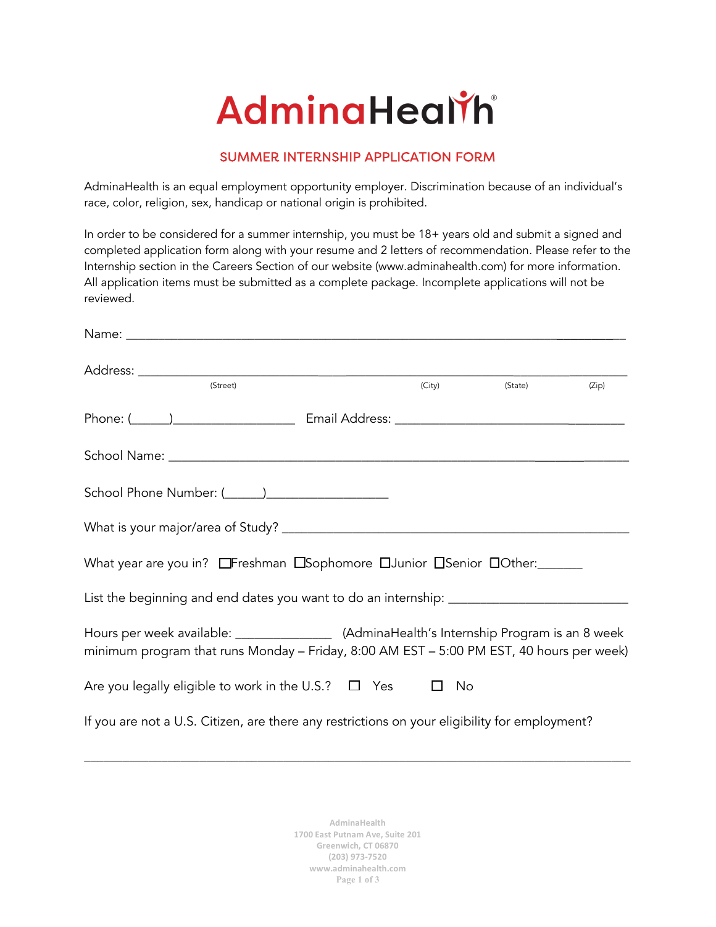## AdminaHealth

## SUMMER INTERNSHIP APPLICATION FORM

AdminaHealth is an equal employment opportunity employer. Discrimination because of an individual's race, color, religion, sex, handicap or national origin is prohibited.

In order to be considered for a summer internship, you must be 18+ years old and submit a signed and completed application form along with your resume and 2 letters of recommendation. Please refer to the Internship section in the Careers Section of our website (www.adminahealth.com) for more information. All application items must be submitted as a complete package. Incomplete applications will not be reviewed.

| (Street)                                                                                                                                                                                  |  | (City) | (State) | (Zip) |
|-------------------------------------------------------------------------------------------------------------------------------------------------------------------------------------------|--|--------|---------|-------|
|                                                                                                                                                                                           |  |        |         |       |
|                                                                                                                                                                                           |  |        |         |       |
|                                                                                                                                                                                           |  |        |         |       |
|                                                                                                                                                                                           |  |        |         |       |
|                                                                                                                                                                                           |  |        |         |       |
| What year are you in? OF reshman OSophomore DJunior OSenior OO ther:                                                                                                                      |  |        |         |       |
|                                                                                                                                                                                           |  |        |         |       |
| Hours per week available: ___________________ (AdminaHealth's Internship Program is an 8 week<br>minimum program that runs Monday - Friday, 8:00 AM EST - 5:00 PM EST, 40 hours per week) |  |        |         |       |
| Are you legally eligible to work in the U.S.? $\Box$ Yes $\Box$ No                                                                                                                        |  |        |         |       |
| If you are not a U.S. Citizen, are there any restrictions on your eligibility for employment?                                                                                             |  |        |         |       |

**AdminaHealth 1700 East Putnam Ave, Suite 201 Greenwich, CT 06870 (203) 973-7520 www.adminahealth.com Page 1 of 3**

\_\_\_\_\_\_\_\_\_\_\_\_\_\_\_\_\_\_\_\_\_\_\_\_\_\_\_\_\_\_\_\_\_\_\_\_\_\_\_\_\_\_\_\_\_\_\_\_\_\_\_\_\_\_\_\_\_\_\_\_\_\_\_\_\_\_\_\_\_\_\_\_\_\_\_\_\_\_\_\_\_\_\_\_\_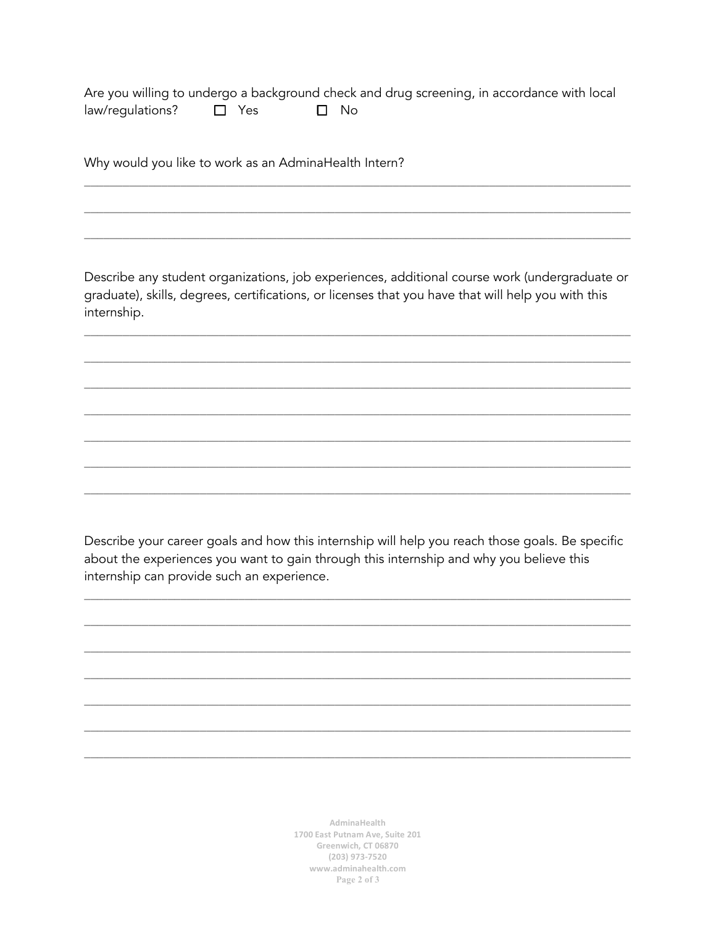Are you willing to undergo a background check and drug screening, in accordance with local law/regulations?  $\Box$  Yes  $\square$  No

Why would you like to work as an AdminaHealth Intern?

Describe any student organizations, job experiences, additional course work (undergraduate or graduate), skills, degrees, certifications, or licenses that you have that will help you with this internship.

Describe your career goals and how this internship will help you reach those goals. Be specific about the experiences you want to gain through this internship and why you believe this internship can provide such an experience.

> AdminaHealth 1700 East Putnam Ave, Suite 201 Greenwich, CT 06870  $(203)$  973-7520 www.adminahealth.com Page 2 of 3